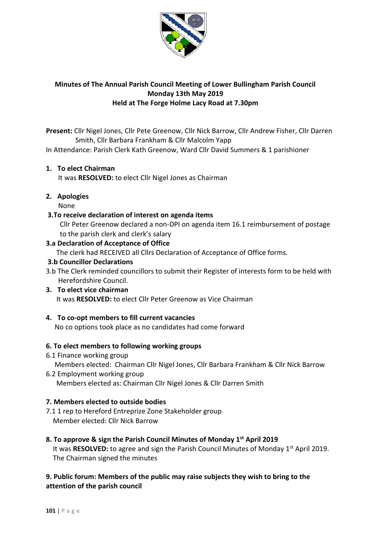

# **Minutes of The Annual Parish Council Meeting of Lower Bullingham Parish Council Monday 13th May 2019 Held at The Forge Holme Lacy Road at 7.30pm**

**Present:** Cllr Nigel Jones, Cllr Pete Greenow, Cllr Nick Barrow, Cllr Andrew Fisher, Cllr Darren Smith, Cllr Barbara Frankham & Cllr Malcolm Yapp

In Attendance: Parish Clerk Kath Greenow, Ward Cllr David Summers & 1 parishioner

## **1. To elect Chairman**

It was **RESOLVED:** to elect Cllr Nigel Jones as Chairman

**2. Apologies** 

None

### **3.To receive declaration of interest on agenda items**

 Cllr Peter Greenow declared a non-DPI on agenda item 16.1 reimbursement of postage to the parish clerk and clerk's salary

### **3.a Declaration of Acceptance of Office**

The clerk had RECEIVED all Cllrs Declaration of Acceptance of Office forms.

### **3.b Councillor Declarations**

3.b The Clerk reminded councillors to submit their Register of interests form to be held with Herefordshire Council.

# **3. To elect vice chairman**  It was **RESOLVED:** to elect Cllr Peter Greenow as Vice Chairman

### **4. To co-opt members to fill current vacancies**

No co options took place as no candidates had come forward

## **6. To elect members to following working groups**

6.1 Finance working group

Members elected: Chairman Cllr Nigel Jones, Cllr Barbara Frankham & Cllr Nick Barrow

6.2 Employment working group

Members elected as: Chairman Cllr Nigel Jones & Cllr Darren Smith

### **7. Members elected to outside bodies**

7.1 1 rep to Hereford Entreprize Zone Stakeholder group Member elected: Cllr Nick Barrow

### **8. To approve & sign the Parish Council Minutes of Monday 1st April 2019**

It was **RESOLVED:** to agree and sign the Parish Council Minutes of Monday 1<sup>st</sup> April 2019. The Chairman signed the minutes

# **9. Public forum: Members of the public may raise subjects they wish to bring to the attention of the parish council**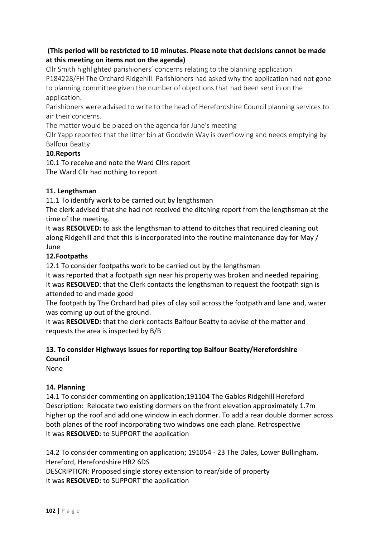# **(This period will be restricted to 10 minutes. Please note that decisions cannot be made at this meeting on items not on the agenda)**

Cllr Smith highlighted parishioners' concerns relating to the planning application [P184228/FH](https://www.herefordshire.gov.uk/info/200142/planning_services/planning_application_search/details?id=184228&search-service=parish&search-source=Parish&search-item=Lower%20Bullingham&search-term=E04000817) The Orchard Ridgehill. Parishioners had asked why the application had not gone to planning committee given the number of objections that had been sent in on the application.

Parishioners were advised to write to the head of Herefordshire Council planning services to air their concerns.

The matter would be placed on the agenda for June's meeting

Cllr Yapp reported that the litter bin at Goodwin Way is overflowing and needs emptying by Balfour Beatty

# **10.Reports**

10.1 To receive and note the Ward Cllrs report The Ward Cllr had nothing to report

# **11. Lengthsman**

11.1 To identify work to be carried out by lengthsman

The clerk advised that she had not received the ditching report from the lengthsman at the time of the meeting.

It was **RESOLVED:** to ask the lengthsman to attend to ditches that required cleaning out along Ridgehill and that this is incorporated into the routine maintenance day for May / June

# **12.Footpaths**

12.1 To consider footpaths work to be carried out by the lengthsman

It was reported that a footpath sign near his property was broken and needed repairing. It was **RESOLVED**: that the Clerk contacts the lengthsman to request the footpath sign is attended to and made good

The footpath by The Orchard had piles of clay soil across the footpath and lane and, water was coming up out of the ground.

It was **RESOLVED:** that the clerk contacts Balfour Beatty to advise of the matter and requests the area is inspected by B/B

# **13. To consider Highways issues for reporting top Balfour Beatty/Herefordshire Council**

None

## **14. Planning**

14.1 To consider commenting on application;191104 The Gables Ridgehill Hereford Description: Relocate two existing dormers on the front elevation approximately 1.7m higher up the roof and add one window in each dormer. To add a rear double dormer across both planes of the roof incorporating two windows one each plane. Retrospective It was **RESOLVED**: to SUPPORT the application

14.2 To consider commenting on application; 191054 - 23 The Dales, Lower Bullingham, Hereford, Herefordshire HR2 6DS

DESCRIPTION: Proposed single storey extension to rear/side of property It was **RESOLVED:** to SUPPORT the application